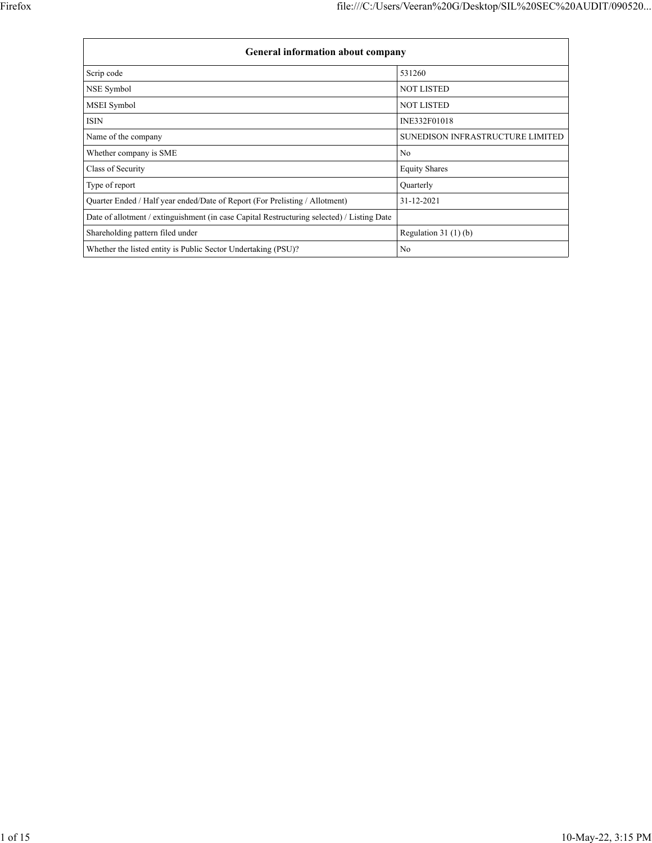| <b>General information about company</b>                                                   |                                  |  |  |  |  |  |  |
|--------------------------------------------------------------------------------------------|----------------------------------|--|--|--|--|--|--|
| Scrip code                                                                                 | 531260                           |  |  |  |  |  |  |
| NSE Symbol                                                                                 | <b>NOT LISTED</b>                |  |  |  |  |  |  |
| <b>MSEI</b> Symbol                                                                         | <b>NOT LISTED</b>                |  |  |  |  |  |  |
| ISIN                                                                                       | INE332F01018                     |  |  |  |  |  |  |
| Name of the company                                                                        | SUNEDISON INFRASTRUCTURE LIMITED |  |  |  |  |  |  |
| Whether company is SME                                                                     | No                               |  |  |  |  |  |  |
| Class of Security                                                                          | <b>Equity Shares</b>             |  |  |  |  |  |  |
| Type of report                                                                             | Quarterly                        |  |  |  |  |  |  |
| Quarter Ended / Half year ended/Date of Report (For Prelisting / Allotment)                | 31-12-2021                       |  |  |  |  |  |  |
| Date of allotment / extinguishment (in case Capital Restructuring selected) / Listing Date |                                  |  |  |  |  |  |  |
| Shareholding pattern filed under                                                           | Regulation $31(1)(b)$            |  |  |  |  |  |  |
| Whether the listed entity is Public Sector Undertaking (PSU)?                              | No                               |  |  |  |  |  |  |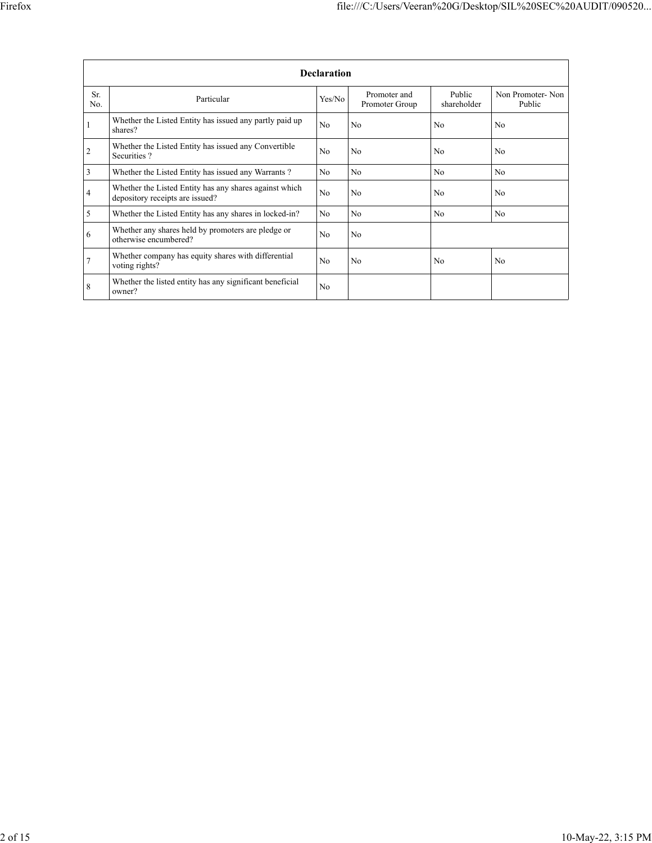|                | <b>Declaration</b>                                                                        |                |                                |                       |                            |  |  |  |  |  |
|----------------|-------------------------------------------------------------------------------------------|----------------|--------------------------------|-----------------------|----------------------------|--|--|--|--|--|
| Sr.<br>No.     | Particular                                                                                | Yes/No         | Promoter and<br>Promoter Group | Public<br>shareholder | Non Promoter-Non<br>Public |  |  |  |  |  |
|                | Whether the Listed Entity has issued any partly paid up<br>shares?                        | N <sub>o</sub> | N <sub>o</sub>                 | No                    | N <sub>o</sub>             |  |  |  |  |  |
| $\overline{c}$ | Whether the Listed Entity has issued any Convertible<br>Securities?                       | N <sub>o</sub> | N <sub>o</sub>                 | N <sub>o</sub>        | N <sub>0</sub>             |  |  |  |  |  |
| 3              | Whether the Listed Entity has issued any Warrants?                                        | N <sub>o</sub> | N <sub>o</sub>                 | N <sub>o</sub>        | N <sub>o</sub>             |  |  |  |  |  |
| $\overline{4}$ | Whether the Listed Entity has any shares against which<br>depository receipts are issued? | N <sub>o</sub> | N <sub>o</sub>                 | N <sub>0</sub>        | N <sub>0</sub>             |  |  |  |  |  |
| 5              | Whether the Listed Entity has any shares in locked-in?                                    | N <sub>o</sub> | N <sub>o</sub>                 | N <sub>o</sub>        | No.                        |  |  |  |  |  |
| 6              | Whether any shares held by promoters are pledge or<br>otherwise encumbered?               | N <sub>0</sub> | N <sub>0</sub>                 |                       |                            |  |  |  |  |  |
| 7              | Whether company has equity shares with differential<br>voting rights?                     | N <sub>o</sub> | N <sub>o</sub>                 | N <sub>0</sub>        | N <sub>0</sub>             |  |  |  |  |  |
| 8              | Whether the listed entity has any significant beneficial<br>owner?                        | N <sub>o</sub> |                                |                       |                            |  |  |  |  |  |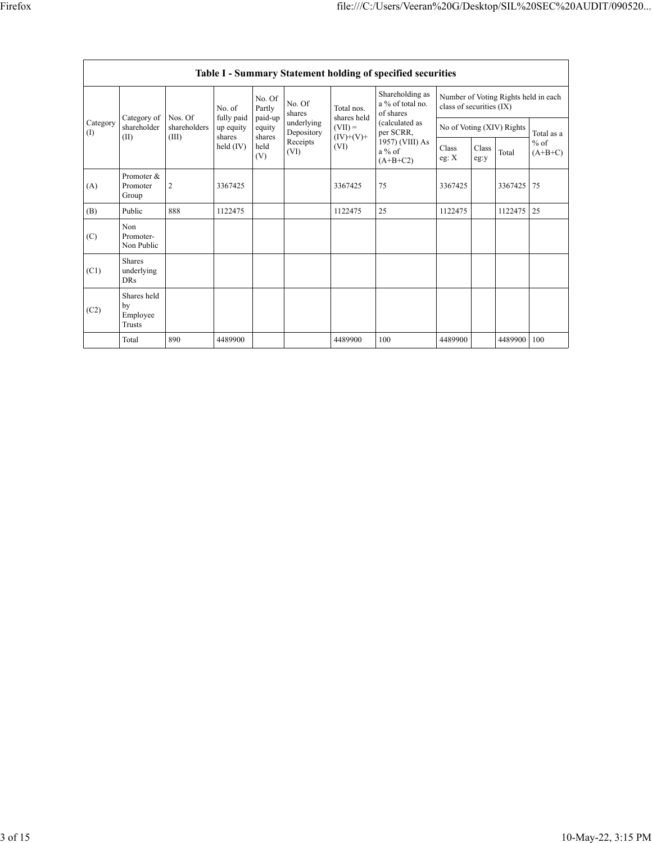|                 | Table I - Summary Statement holding of specified securities |                                                              |                             |                       |                           |                                                  |                                                                          |                |               |                           |                     |  |
|-----------------|-------------------------------------------------------------|--------------------------------------------------------------|-----------------------------|-----------------------|---------------------------|--------------------------------------------------|--------------------------------------------------------------------------|----------------|---------------|---------------------------|---------------------|--|
|                 |                                                             | No. of<br>Nos. Of<br>fully paid<br>shareholders<br>up equity | No. Of<br>Partly<br>paid-up | No. Of<br>shares      | Total nos.<br>shares held | Shareholding as<br>a % of total no.<br>of shares | Number of Voting Rights held in each<br>class of securities (IX)         |                |               |                           |                     |  |
| Category<br>(1) | Category of<br>shareholder                                  |                                                              | shares                      | equity                | underlying<br>Depository  | $(VII) =$<br>$(IV)+(V)+$                         | (calculated as<br>per SCRR,<br>1957) (VIII) As<br>$a\%$ of<br>$(A+B+C2)$ |                |               | No of Voting (XIV) Rights | Total as a          |  |
|                 | (II)                                                        | (III)                                                        | held $(IV)$                 | shares<br>held<br>(V) | Receipts<br>(VI)          | (VI)                                             |                                                                          | Class<br>eg: X | Class<br>eg:y | Total                     | $%$ of<br>$(A+B+C)$ |  |
| (A)             | Promoter &<br>Promoter<br>Group                             | $\overline{2}$                                               | 3367425                     |                       |                           | 3367425                                          | 75                                                                       | 3367425        |               | 3367425                   | 75                  |  |
| (B)             | Public                                                      | 888                                                          | 1122475                     |                       |                           | 1122475                                          | 25                                                                       | 1122475        |               | 1122475                   | 25                  |  |
| (C)             | Non<br>Promoter-<br>Non Public                              |                                                              |                             |                       |                           |                                                  |                                                                          |                |               |                           |                     |  |
| (C1)            | <b>Shares</b><br>underlying<br><b>DRs</b>                   |                                                              |                             |                       |                           |                                                  |                                                                          |                |               |                           |                     |  |
| (C2)            | Shares held<br>by<br>Employee<br>Trusts                     |                                                              |                             |                       |                           |                                                  |                                                                          |                |               |                           |                     |  |
|                 | Total                                                       | 890                                                          | 4489900                     |                       |                           | 4489900                                          | 100                                                                      | 4489900        |               | 4489900                   | 100                 |  |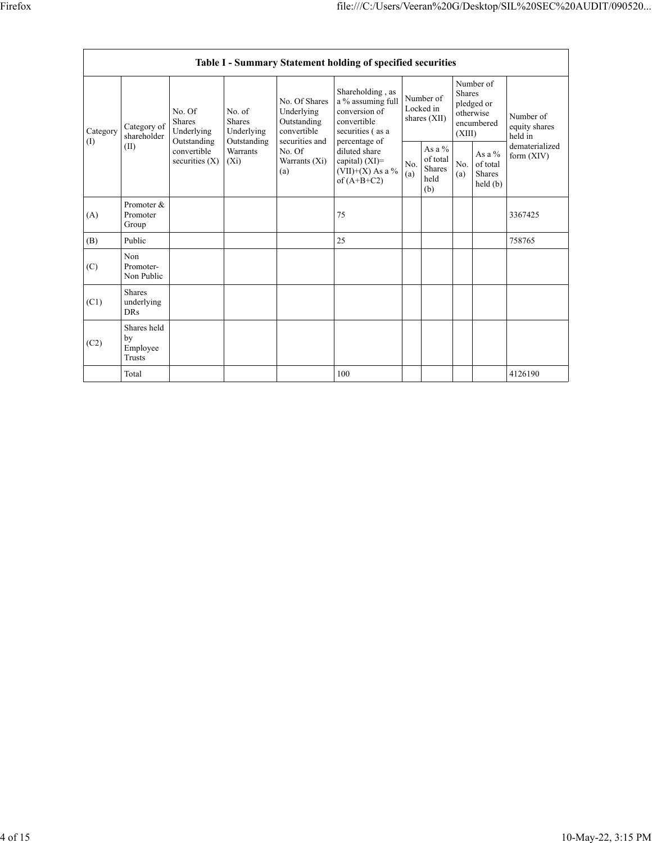|                 | Table I - Summary Statement holding of specified securities |                                                                                                                                       |                 |                                                                             |                                                                                                                                                                                            |                                        |                                               |                                                                               |                                           |                                       |  |  |
|-----------------|-------------------------------------------------------------|---------------------------------------------------------------------------------------------------------------------------------------|-----------------|-----------------------------------------------------------------------------|--------------------------------------------------------------------------------------------------------------------------------------------------------------------------------------------|----------------------------------------|-----------------------------------------------|-------------------------------------------------------------------------------|-------------------------------------------|---------------------------------------|--|--|
| Category<br>(1) | Category of<br>shareholder<br>(II)                          | No. of<br>No. Of<br>Shares<br><b>Shares</b><br>Underlying<br>Outstanding<br>Outstanding<br>convertible<br>securities $(X)$<br>$(X_i)$ | Underlying      | No. Of Shares<br>Underlying<br>Outstanding<br>convertible<br>securities and | Shareholding, as<br>a $\%$ assuming full<br>conversion of<br>convertible<br>securities (as a<br>percentage of<br>diluted share<br>capital) $(XI)$ =<br>$(VII)+(X)$ As a %<br>of $(A+B+C2)$ | Number of<br>Locked in<br>shares (XII) |                                               | Number of<br><b>Shares</b><br>pledged or<br>otherwise<br>encumbered<br>(XIII) |                                           | Number of<br>equity shares<br>held in |  |  |
|                 |                                                             |                                                                                                                                       | <b>Warrants</b> | No. Of<br>Warrants $(Xi)$<br>(a)                                            |                                                                                                                                                                                            | No.<br>(a)                             | As a $%$<br>of total<br>Shares<br>held<br>(b) | No.<br>(a)                                                                    | As a $%$<br>of total<br>Shares<br>held(b) | dematerialized<br>form $(XIV)$        |  |  |
| (A)             | Promoter &<br>Promoter<br>Group                             |                                                                                                                                       |                 |                                                                             | 75                                                                                                                                                                                         |                                        |                                               |                                                                               |                                           | 3367425                               |  |  |
| (B)             | Public                                                      |                                                                                                                                       |                 |                                                                             | 25                                                                                                                                                                                         |                                        |                                               |                                                                               |                                           | 758765                                |  |  |
| (C)             | Non<br>Promoter-<br>Non Public                              |                                                                                                                                       |                 |                                                                             |                                                                                                                                                                                            |                                        |                                               |                                                                               |                                           |                                       |  |  |
| (C1)            | <b>Shares</b><br>underlying<br><b>DRs</b>                   |                                                                                                                                       |                 |                                                                             |                                                                                                                                                                                            |                                        |                                               |                                                                               |                                           |                                       |  |  |
| (C2)            | Shares held<br>by<br>Employee<br><b>Trusts</b>              |                                                                                                                                       |                 |                                                                             |                                                                                                                                                                                            |                                        |                                               |                                                                               |                                           |                                       |  |  |
|                 | Total                                                       |                                                                                                                                       |                 |                                                                             | 100                                                                                                                                                                                        |                                        |                                               |                                                                               |                                           | 4126190                               |  |  |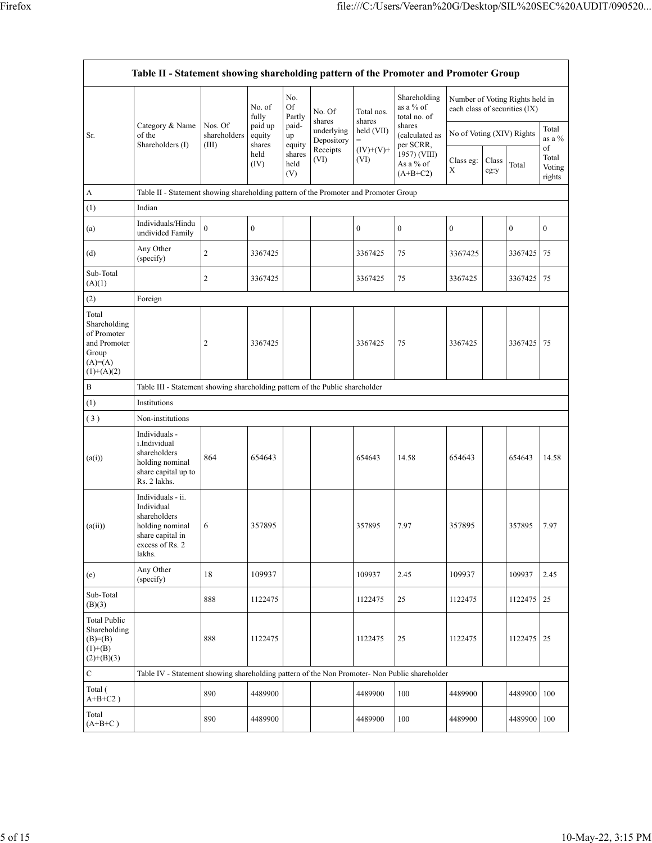|                                                                                            | Table II - Statement showing shareholding pattern of the Promoter and Promoter Group                                |                                                                              |                             |                       |                          |                                 |                                           |                                 |       |                                 |                  |
|--------------------------------------------------------------------------------------------|---------------------------------------------------------------------------------------------------------------------|------------------------------------------------------------------------------|-----------------------------|-----------------------|--------------------------|---------------------------------|-------------------------------------------|---------------------------------|-------|---------------------------------|------------------|
|                                                                                            | Category & Name<br>of the<br>Shareholders (I)                                                                       | Nos. Of<br>shareholders<br>(III)                                             | No. of<br>fully             | No.<br>Of<br>Partly   | No. Of<br>shares         | Total nos.<br>shares            | Shareholding<br>as a % of<br>total no. of | each class of securities (IX)   |       | Number of Voting Rights held in |                  |
| Sr.                                                                                        |                                                                                                                     |                                                                              | paid up<br>equity<br>shares | paid-<br>up<br>equity | underlying<br>Depository | held (VII)<br>$\qquad \qquad =$ | shares<br>(calculated as<br>per SCRR,     | No of Voting (XIV) Rights       |       |                                 | Total<br>as a %  |
|                                                                                            |                                                                                                                     |                                                                              | held<br>(IV)                | shares<br>held<br>(V) | Receipts<br>(VI)         | $(IV)+(V)+$<br>(VI)             | 1957) (VIII)<br>As a % of<br>$(A+B+C2)$   | Class eg:<br>Class<br>X<br>eg:y | Total | of<br>Total<br>Voting<br>rights |                  |
| А                                                                                          | Table II - Statement showing shareholding pattern of the Promoter and Promoter Group                                |                                                                              |                             |                       |                          |                                 |                                           |                                 |       |                                 |                  |
| (1)                                                                                        | Indian                                                                                                              |                                                                              |                             |                       |                          |                                 |                                           |                                 |       |                                 |                  |
| (a)                                                                                        | Individuals/Hindu<br>undivided Family                                                                               | $\boldsymbol{0}$                                                             | $\boldsymbol{0}$            |                       |                          | $\boldsymbol{0}$                | $\boldsymbol{0}$                          | $\boldsymbol{0}$                |       | $\bf{0}$                        | $\boldsymbol{0}$ |
| (d)                                                                                        | Any Other<br>(specify)                                                                                              | $\mathfrak{2}$                                                               | 3367425                     |                       |                          | 3367425                         | 75                                        | 3367425                         |       | 3367425                         | 75               |
| Sub-Total<br>(A)(1)                                                                        |                                                                                                                     | $\mathfrak{2}$                                                               | 3367425                     |                       |                          | 3367425                         | 75                                        | 3367425                         |       | 3367425                         | 75               |
| (2)                                                                                        | Foreign                                                                                                             |                                                                              |                             |                       |                          |                                 |                                           |                                 |       |                                 |                  |
| Total<br>Shareholding<br>of Promoter<br>and Promoter<br>Group<br>$(A)=(A)$<br>$(1)+(A)(2)$ |                                                                                                                     | $\overline{c}$                                                               | 3367425                     |                       |                          | 3367425                         | 75                                        | 3367425                         |       | 3367425                         | 75               |
| В                                                                                          |                                                                                                                     | Table III - Statement showing shareholding pattern of the Public shareholder |                             |                       |                          |                                 |                                           |                                 |       |                                 |                  |
| (1)                                                                                        | Institutions                                                                                                        |                                                                              |                             |                       |                          |                                 |                                           |                                 |       |                                 |                  |
| (3)                                                                                        | Non-institutions                                                                                                    |                                                                              |                             |                       |                          |                                 |                                           |                                 |       |                                 |                  |
| (a(i))                                                                                     | Individuals -<br>i.Individual<br>shareholders<br>holding nominal<br>share capital up to<br>Rs. 2 lakhs.             | 864                                                                          | 654643                      |                       |                          | 654643                          | 14.58                                     | 654643                          |       | 654643                          | 14.58            |
| (a(ii))                                                                                    | Individuals - ii.<br>Individual<br>shareholders<br>holding nominal<br>share capital in<br>excess of Rs. 2<br>lakhs. | 6                                                                            | 357895                      |                       |                          | 357895                          | 7.97                                      | 357895                          |       | 357895                          | 7.97             |
| (e)                                                                                        | Any Other<br>(specify)                                                                                              | 18                                                                           | 109937                      |                       |                          | 109937                          | 2.45                                      | 109937                          |       | 109937                          | 2.45             |
| Sub-Total<br>(B)(3)                                                                        |                                                                                                                     | 888                                                                          | 1122475                     |                       |                          | 1122475                         | 25                                        | 1122475                         |       | 1122475                         | 25               |
| <b>Total Public</b><br>Shareholding<br>$(B)=B)$<br>$(1)+(B)$<br>$(2)+(B)(3)$               |                                                                                                                     | 888                                                                          | 1122475                     |                       |                          | 1122475                         | 25                                        | 1122475                         |       | 1122475                         | 25               |
| $\mathbf C$                                                                                | Table IV - Statement showing shareholding pattern of the Non Promoter- Non Public shareholder                       |                                                                              |                             |                       |                          |                                 |                                           |                                 |       |                                 |                  |
| Total (<br>$A+B+C2$ )                                                                      |                                                                                                                     | 890                                                                          | 4489900                     |                       |                          | 4489900                         | 100                                       | 4489900                         |       | 4489900                         | 100              |
| Total<br>$(A+B+C)$                                                                         |                                                                                                                     | 890                                                                          | 4489900                     |                       |                          | 4489900                         | 100                                       | 4489900                         |       | 4489900                         | 100              |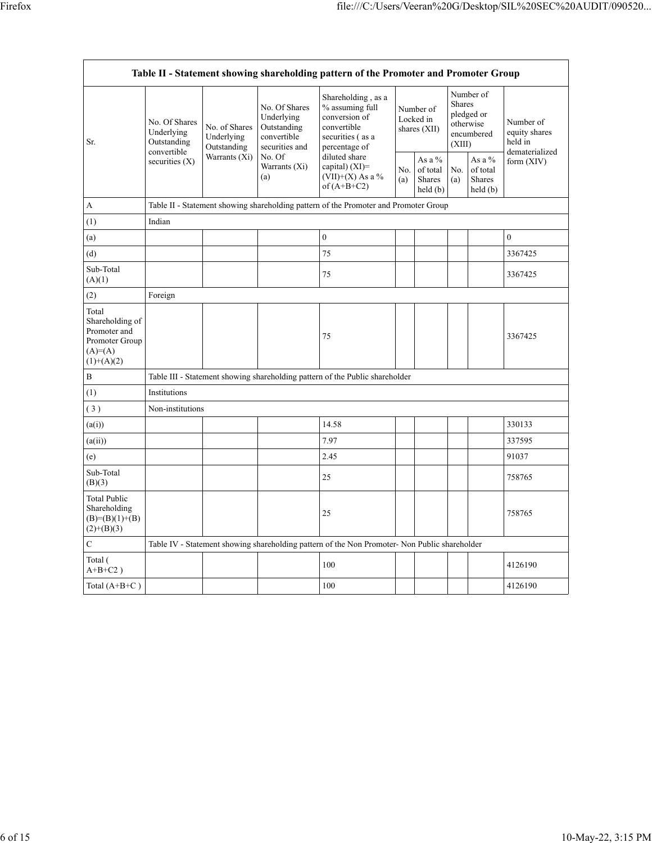| Table II - Statement showing shareholding pattern of the Promoter and Promoter Group     |                                                                               |                                                             |                                                                                                               |                                                                                                                                                                                          |                                        |                                                |                                                                               |                                                                |                                                         |
|------------------------------------------------------------------------------------------|-------------------------------------------------------------------------------|-------------------------------------------------------------|---------------------------------------------------------------------------------------------------------------|------------------------------------------------------------------------------------------------------------------------------------------------------------------------------------------|----------------------------------------|------------------------------------------------|-------------------------------------------------------------------------------|----------------------------------------------------------------|---------------------------------------------------------|
| Sr.                                                                                      | No. Of Shares<br>Underlying<br>Outstanding<br>convertible<br>securities $(X)$ | No. of Shares<br>Underlying<br>Outstanding<br>Warrants (Xi) | No. Of Shares<br>Underlying<br>Outstanding<br>convertible<br>securities and<br>No. Of<br>Warrants (Xi)<br>(a) | Shareholding, as a<br>% assuming full<br>conversion of<br>convertible<br>securities (as a<br>percentage of<br>diluted share<br>capital) $(XI)$ =<br>(VII)+(X) As a $\%$<br>of $(A+B+C2)$ | Number of<br>Locked in<br>shares (XII) |                                                | Number of<br><b>Shares</b><br>pledged or<br>otherwise<br>encumbered<br>(XIII) |                                                                | Number of<br>equity shares<br>held in<br>dematerialized |
|                                                                                          |                                                                               |                                                             |                                                                                                               |                                                                                                                                                                                          | No.<br>(a)                             | As a %<br>of total<br><b>Shares</b><br>held(b) | No.<br>(a)                                                                    | As a %<br>of total<br><b>Shares</b><br>$\text{held}(\text{b})$ | form $(XIV)$                                            |
| A                                                                                        |                                                                               |                                                             |                                                                                                               | Table II - Statement showing shareholding pattern of the Promoter and Promoter Group                                                                                                     |                                        |                                                |                                                                               |                                                                |                                                         |
| (1)                                                                                      | Indian                                                                        |                                                             |                                                                                                               |                                                                                                                                                                                          |                                        |                                                |                                                                               |                                                                |                                                         |
| (a)                                                                                      |                                                                               |                                                             |                                                                                                               | $\boldsymbol{0}$                                                                                                                                                                         |                                        |                                                |                                                                               |                                                                | $\mathbf{0}$                                            |
| (d)                                                                                      |                                                                               |                                                             |                                                                                                               | 75                                                                                                                                                                                       |                                        |                                                |                                                                               |                                                                | 3367425                                                 |
| Sub-Total<br>(A)(1)                                                                      |                                                                               |                                                             |                                                                                                               | 75                                                                                                                                                                                       |                                        |                                                |                                                                               |                                                                | 3367425                                                 |
| (2)                                                                                      | Foreign                                                                       |                                                             |                                                                                                               |                                                                                                                                                                                          |                                        |                                                |                                                                               |                                                                |                                                         |
| Total<br>Shareholding of<br>Promoter and<br>Promoter Group<br>$(A)= (A)$<br>$(1)+(A)(2)$ |                                                                               |                                                             |                                                                                                               | 75                                                                                                                                                                                       |                                        |                                                |                                                                               |                                                                | 3367425                                                 |
| B                                                                                        |                                                                               |                                                             |                                                                                                               | Table III - Statement showing shareholding pattern of the Public shareholder                                                                                                             |                                        |                                                |                                                                               |                                                                |                                                         |
| (1)                                                                                      | Institutions                                                                  |                                                             |                                                                                                               |                                                                                                                                                                                          |                                        |                                                |                                                                               |                                                                |                                                         |
| (3)                                                                                      | Non-institutions                                                              |                                                             |                                                                                                               |                                                                                                                                                                                          |                                        |                                                |                                                                               |                                                                |                                                         |
| (a(i))                                                                                   |                                                                               |                                                             |                                                                                                               | 14.58                                                                                                                                                                                    |                                        |                                                |                                                                               |                                                                | 330133                                                  |
| (a(ii))                                                                                  |                                                                               |                                                             |                                                                                                               | 7.97                                                                                                                                                                                     |                                        |                                                |                                                                               |                                                                | 337595                                                  |
| (e)                                                                                      |                                                                               |                                                             |                                                                                                               | 2.45                                                                                                                                                                                     |                                        |                                                |                                                                               |                                                                | 91037                                                   |
| Sub-Total<br>(B)(3)                                                                      |                                                                               |                                                             |                                                                                                               | 25                                                                                                                                                                                       |                                        |                                                |                                                                               |                                                                | 758765                                                  |
| <b>Total Public</b><br>Shareholding<br>$(B)= (B)(1)+(B)$<br>$(2)+(B)(3)$                 |                                                                               |                                                             |                                                                                                               | 25                                                                                                                                                                                       |                                        |                                                |                                                                               |                                                                | 758765                                                  |
| $\mathbf C$                                                                              |                                                                               |                                                             |                                                                                                               | Table IV - Statement showing shareholding pattern of the Non Promoter- Non Public shareholder                                                                                            |                                        |                                                |                                                                               |                                                                |                                                         |
| Total (<br>$A+B+C2$ )                                                                    |                                                                               |                                                             |                                                                                                               | 100                                                                                                                                                                                      |                                        |                                                |                                                                               |                                                                | 4126190                                                 |
| Total $(A+B+C)$                                                                          |                                                                               |                                                             |                                                                                                               | 100                                                                                                                                                                                      |                                        |                                                |                                                                               |                                                                | 4126190                                                 |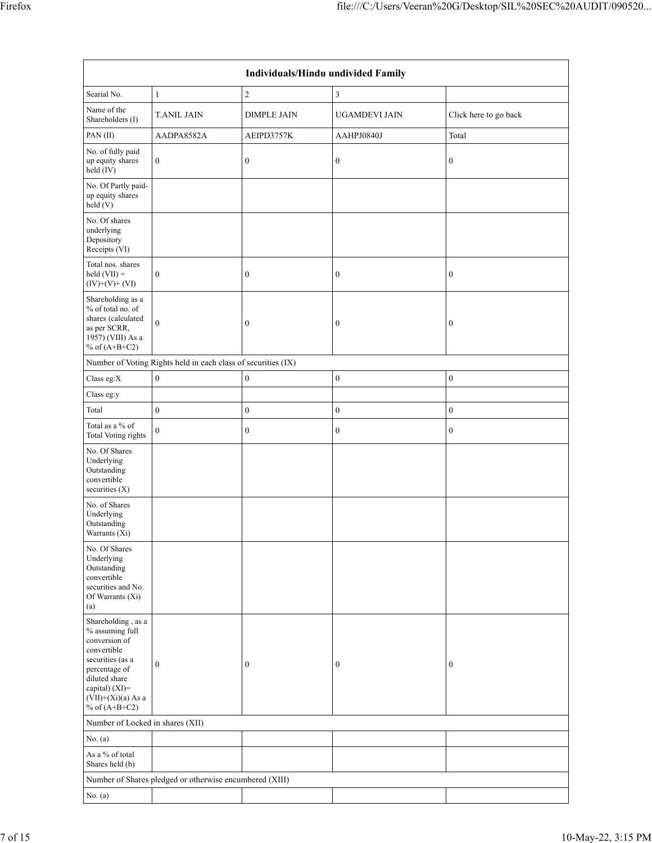| Individuals/Hindu undivided Family                                                                                                                                                       |                                                               |                    |                      |                       |  |  |  |  |  |
|------------------------------------------------------------------------------------------------------------------------------------------------------------------------------------------|---------------------------------------------------------------|--------------------|----------------------|-----------------------|--|--|--|--|--|
| Searial No.                                                                                                                                                                              | $\mathbf{1}$                                                  | $\sqrt{2}$         | 3                    |                       |  |  |  |  |  |
| Name of the<br>Shareholders (I)                                                                                                                                                          | <b>T.ANIL JAIN</b>                                            | <b>DIMPLE JAIN</b> | <b>UGAMDEVI JAIN</b> | Click here to go back |  |  |  |  |  |
| PAN(II)                                                                                                                                                                                  | AADPA8582A                                                    | AEIPD3757K         | AAHPJ0840J           | Total                 |  |  |  |  |  |
| No. of fully paid<br>up equity shares<br>held (IV)                                                                                                                                       | $\boldsymbol{0}$                                              | $\boldsymbol{0}$   | $\boldsymbol{0}$     | $\boldsymbol{0}$      |  |  |  |  |  |
| No. Of Partly paid-<br>up equity shares<br>held (V)                                                                                                                                      |                                                               |                    |                      |                       |  |  |  |  |  |
| No. Of shares<br>underlying<br>Depository<br>Receipts (VI)                                                                                                                               |                                                               |                    |                      |                       |  |  |  |  |  |
| Total nos. shares<br>$held (VII) =$<br>$(IV)+(V)+(VI)$                                                                                                                                   | $\boldsymbol{0}$                                              | $\boldsymbol{0}$   | $\boldsymbol{0}$     | $\boldsymbol{0}$      |  |  |  |  |  |
| Shareholding as a<br>% of total no. of<br>shares (calculated<br>as per SCRR,<br>1957) (VIII) As a<br>% of $(A+B+C2)$                                                                     | $\mathbf{0}$                                                  | $\boldsymbol{0}$   | $\boldsymbol{0}$     | $\boldsymbol{0}$      |  |  |  |  |  |
|                                                                                                                                                                                          | Number of Voting Rights held in each class of securities (IX) |                    |                      |                       |  |  |  |  |  |
| Class eg:X                                                                                                                                                                               | $\mathbf{0}$                                                  | $\boldsymbol{0}$   | $\boldsymbol{0}$     | $\boldsymbol{0}$      |  |  |  |  |  |
| Class eg:y                                                                                                                                                                               |                                                               |                    |                      |                       |  |  |  |  |  |
| Total                                                                                                                                                                                    | $\boldsymbol{0}$                                              | $\boldsymbol{0}$   | $\boldsymbol{0}$     | $\boldsymbol{0}$      |  |  |  |  |  |
| Total as a % of<br>Total Voting rights                                                                                                                                                   | $\mathbf{0}$                                                  | $\boldsymbol{0}$   | $\boldsymbol{0}$     | $\boldsymbol{0}$      |  |  |  |  |  |
| No. Of Shares<br>Underlying<br>Outstanding<br>convertible<br>securities (X)                                                                                                              |                                                               |                    |                      |                       |  |  |  |  |  |
| No. of Shares<br>Underlying<br>Outstanding<br>Warrants (Xi)                                                                                                                              |                                                               |                    |                      |                       |  |  |  |  |  |
| No. Of Shares<br>Underlying<br>Outstanding<br>convertible<br>securities and No.<br>Of Warrants (Xi)<br>(a)                                                                               |                                                               |                    |                      |                       |  |  |  |  |  |
| Shareholding, as a<br>% assuming full<br>conversion of<br>convertible<br>securities (as a<br>percentage of<br>diluted share<br>capital) (XI)=<br>$(VII)+(Xi)(a)$ As a<br>% of $(A+B+C2)$ | $\mathbf{0}$                                                  | $\boldsymbol{0}$   | $\boldsymbol{0}$     | $\boldsymbol{0}$      |  |  |  |  |  |
| Number of Locked in shares (XII)                                                                                                                                                         |                                                               |                    |                      |                       |  |  |  |  |  |
| No. (a)                                                                                                                                                                                  |                                                               |                    |                      |                       |  |  |  |  |  |
| As a % of total<br>Shares held (b)                                                                                                                                                       |                                                               |                    |                      |                       |  |  |  |  |  |
|                                                                                                                                                                                          | Number of Shares pledged or otherwise encumbered (XIII)       |                    |                      |                       |  |  |  |  |  |
| No. (a)                                                                                                                                                                                  |                                                               |                    |                      |                       |  |  |  |  |  |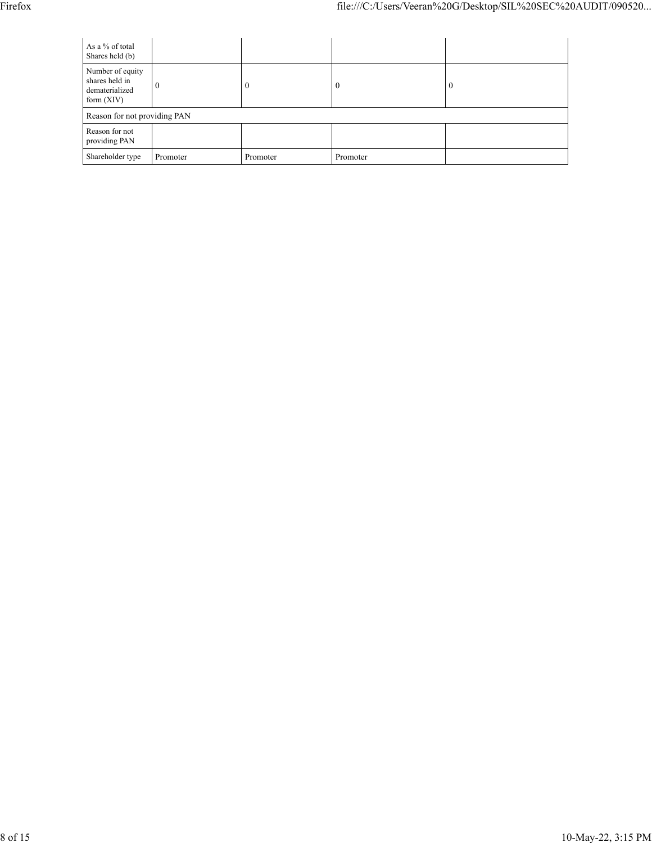| As a % of total<br>Shares held (b)                                   |              |          |          |          |  |  |  |  |
|----------------------------------------------------------------------|--------------|----------|----------|----------|--|--|--|--|
| Number of equity<br>shares held in<br>dematerialized<br>form $(XIV)$ | $\mathbf{0}$ | $\theta$ | $\theta$ | $\theta$ |  |  |  |  |
| Reason for not providing PAN                                         |              |          |          |          |  |  |  |  |
| Reason for not<br>providing PAN                                      |              |          |          |          |  |  |  |  |
| Shareholder type                                                     | Promoter     | Promoter | Promoter |          |  |  |  |  |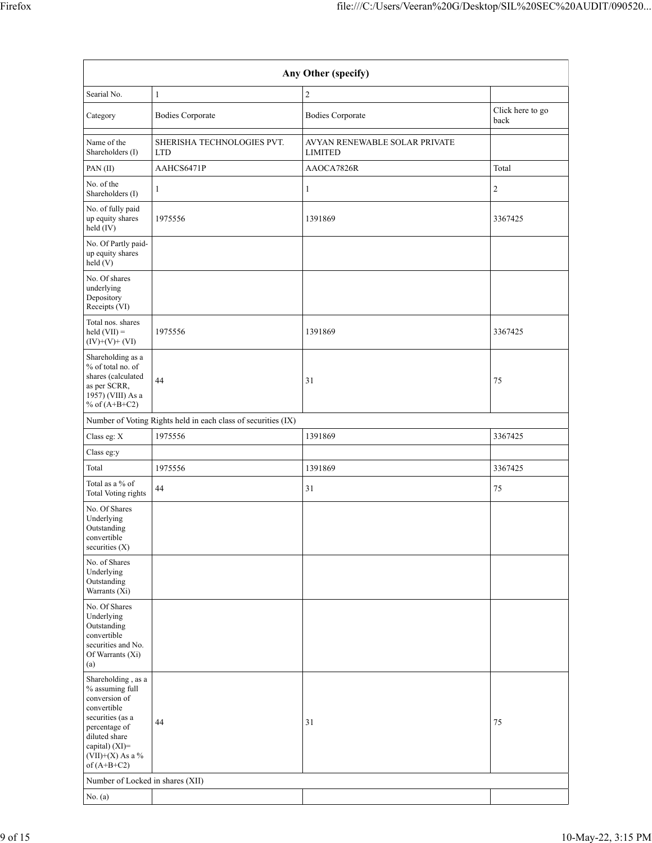| Any Other (specify)                                                                                                                                                                 |                                          |                                                 |                          |  |  |  |  |  |  |
|-------------------------------------------------------------------------------------------------------------------------------------------------------------------------------------|------------------------------------------|-------------------------------------------------|--------------------------|--|--|--|--|--|--|
| Searial No.                                                                                                                                                                         | $\mathbf{1}$                             | $\overline{c}$                                  |                          |  |  |  |  |  |  |
| Category                                                                                                                                                                            | <b>Bodies Corporate</b>                  | <b>Bodies Corporate</b>                         | Click here to go<br>back |  |  |  |  |  |  |
| Name of the<br>Shareholders (I)                                                                                                                                                     | SHERISHA TECHNOLOGIES PVT.<br><b>LTD</b> | AVYAN RENEWABLE SOLAR PRIVATE<br><b>LIMITED</b> |                          |  |  |  |  |  |  |
| PAN(II)                                                                                                                                                                             | AAHCS6471P                               | AAOCA7826R                                      | Total                    |  |  |  |  |  |  |
| No. of the<br>Shareholders (I)                                                                                                                                                      | 1                                        | $\mathbf{1}$                                    | 2                        |  |  |  |  |  |  |
| No. of fully paid<br>up equity shares<br>held (IV)                                                                                                                                  | 1975556                                  | 1391869                                         | 3367425                  |  |  |  |  |  |  |
| No. Of Partly paid-<br>up equity shares<br>held(V)                                                                                                                                  |                                          |                                                 |                          |  |  |  |  |  |  |
| No. Of shares<br>underlying<br>Depository<br>Receipts (VI)                                                                                                                          |                                          |                                                 |                          |  |  |  |  |  |  |
| Total nos. shares<br>held $(VII) =$<br>$(IV)+(V)+(VI)$                                                                                                                              | 1975556                                  | 1391869                                         | 3367425                  |  |  |  |  |  |  |
| Shareholding as a<br>% of total no. of<br>shares (calculated<br>as per SCRR,<br>1957) (VIII) As a<br>% of $(A+B+C2)$                                                                | 44                                       | 31                                              | 75                       |  |  |  |  |  |  |
| Number of Voting Rights held in each class of securities (IX)                                                                                                                       |                                          |                                                 |                          |  |  |  |  |  |  |
| Class eg: X                                                                                                                                                                         | 1975556                                  | 1391869                                         | 3367425                  |  |  |  |  |  |  |
| Class eg:y                                                                                                                                                                          |                                          |                                                 |                          |  |  |  |  |  |  |
| Total                                                                                                                                                                               | 1975556                                  | 1391869                                         | 3367425                  |  |  |  |  |  |  |
| Total as a $\%$ of<br><b>Total Voting rights</b>                                                                                                                                    | 44                                       | 31                                              | 75                       |  |  |  |  |  |  |
| No. Of Shares<br>Underlying<br>Outstanding<br>convertible<br>securities $(X)$                                                                                                       |                                          |                                                 |                          |  |  |  |  |  |  |
| No. of Shares<br>Underlying<br>Outstanding<br>Warrants (Xi)                                                                                                                         |                                          |                                                 |                          |  |  |  |  |  |  |
| No. Of Shares<br>Underlying<br>Outstanding<br>convertible<br>securities and No.<br>Of Warrants (Xi)<br>(a)                                                                          |                                          |                                                 |                          |  |  |  |  |  |  |
| Shareholding , as a<br>% assuming full<br>conversion of<br>convertible<br>securities (as a<br>percentage of<br>diluted share<br>capital) (XI)=<br>(VII)+(X) As a %<br>of $(A+B+C2)$ | 44                                       | 31                                              | 75                       |  |  |  |  |  |  |
| Number of Locked in shares (XII)                                                                                                                                                    |                                          |                                                 |                          |  |  |  |  |  |  |
| No. (a)                                                                                                                                                                             |                                          |                                                 |                          |  |  |  |  |  |  |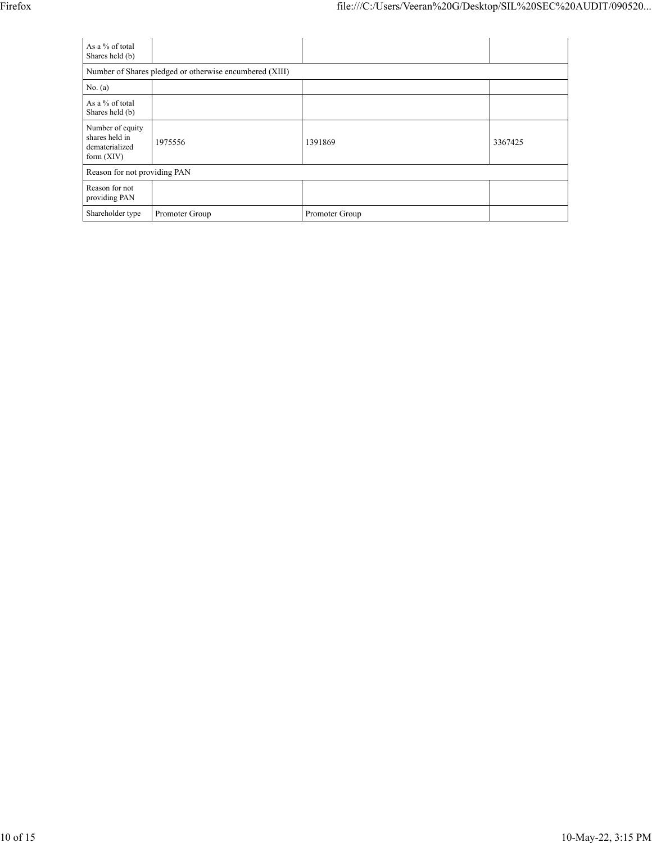| As a % of total<br>Shares held (b)                                   |                |                |         |  |  |  |  |
|----------------------------------------------------------------------|----------------|----------------|---------|--|--|--|--|
| Number of Shares pledged or otherwise encumbered (XIII)              |                |                |         |  |  |  |  |
| No. (a)                                                              |                |                |         |  |  |  |  |
| As a $%$ of total<br>Shares held (b)                                 |                |                |         |  |  |  |  |
| Number of equity<br>shares held in<br>dematerialized<br>form $(XIV)$ | 1975556        | 1391869        | 3367425 |  |  |  |  |
| Reason for not providing PAN                                         |                |                |         |  |  |  |  |
| Reason for not<br>providing PAN                                      |                |                |         |  |  |  |  |
| Shareholder type                                                     | Promoter Group | Promoter Group |         |  |  |  |  |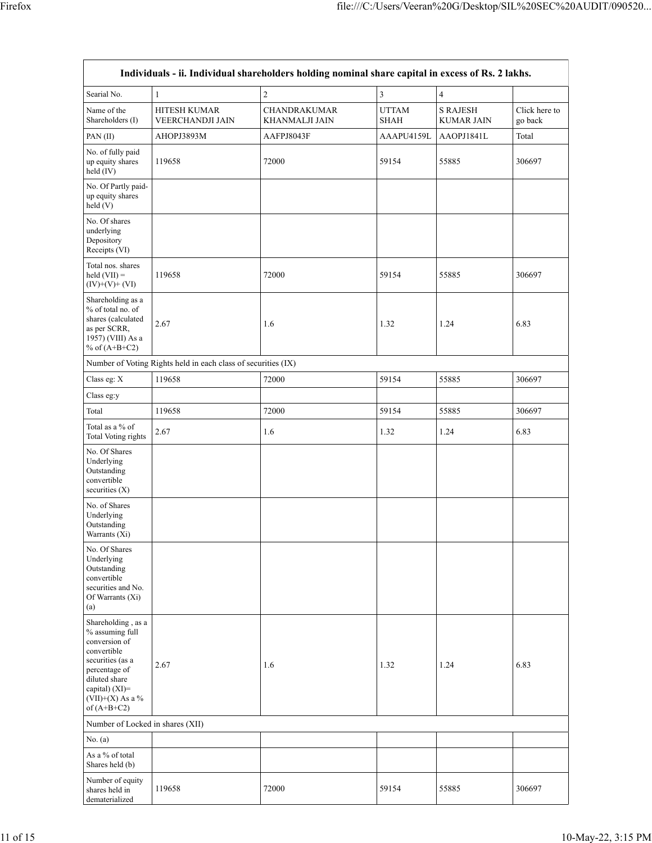|                                                                                                                                                                                    |                                                               | Individuals - ii. Individual shareholders holding nominal share capital in excess of Rs. 2 lakhs. |                             |                                      |                          |
|------------------------------------------------------------------------------------------------------------------------------------------------------------------------------------|---------------------------------------------------------------|---------------------------------------------------------------------------------------------------|-----------------------------|--------------------------------------|--------------------------|
| Searial No.                                                                                                                                                                        | $\mathbf{1}$                                                  | $\sqrt{2}$                                                                                        | $\overline{\mathbf{3}}$     | $\overline{4}$                       |                          |
| Name of the<br>Shareholders (I)                                                                                                                                                    | <b>HITESH KUMAR</b><br><b>VEERCHANDJI JAIN</b>                | <b>CHANDRAKUMAR</b><br><b>KHANMALJI JAIN</b>                                                      | <b>UTTAM</b><br><b>SHAH</b> | <b>S RAJESH</b><br><b>KUMAR JAIN</b> | Click here to<br>go back |
| PAN(II)                                                                                                                                                                            | AHOPJ3893M                                                    | AAFPJ8043F                                                                                        | AAAPU4159L                  | AAOPJ1841L                           | Total                    |
| No. of fully paid<br>up equity shares<br>held (IV)                                                                                                                                 | 119658                                                        | 72000                                                                                             | 59154                       | 55885                                | 306697                   |
| No. Of Partly paid-<br>up equity shares<br>held(V)                                                                                                                                 |                                                               |                                                                                                   |                             |                                      |                          |
| No. Of shares<br>underlying<br>Depository<br>Receipts (VI)                                                                                                                         |                                                               |                                                                                                   |                             |                                      |                          |
| Total nos. shares<br>held $(VII) =$<br>$(IV)+(V)+(VI)$                                                                                                                             | 119658                                                        | 72000                                                                                             | 59154                       | 55885                                | 306697                   |
| Shareholding as a<br>% of total no. of<br>shares (calculated<br>as per SCRR,<br>1957) (VIII) As a<br>% of $(A+B+C2)$                                                               | 2.67                                                          | 1.6                                                                                               | 1.32                        | 1.24                                 | 6.83                     |
|                                                                                                                                                                                    | Number of Voting Rights held in each class of securities (IX) |                                                                                                   |                             |                                      |                          |
| Class eg: X                                                                                                                                                                        | 119658                                                        | 72000                                                                                             | 59154                       | 55885                                | 306697                   |
| Class eg:y                                                                                                                                                                         |                                                               |                                                                                                   |                             |                                      |                          |
| Total                                                                                                                                                                              | 119658                                                        | 72000                                                                                             | 59154                       | 55885                                | 306697                   |
| Total as a % of<br>Total Voting rights                                                                                                                                             | 2.67                                                          | 1.6                                                                                               | 1.32                        | 1.24                                 | 6.83                     |
| No. Of Shares<br>Underlying<br>Outstanding<br>convertible<br>securities $(X)$                                                                                                      |                                                               |                                                                                                   |                             |                                      |                          |
| No. of Shares<br>Underlying<br>Outstanding<br>Warrants (Xi)                                                                                                                        |                                                               |                                                                                                   |                             |                                      |                          |
| No. Of Shares<br>Underlying<br>Outstanding<br>convertible<br>securities and No.<br>Of Warrants (Xi)<br>(a)                                                                         |                                                               |                                                                                                   |                             |                                      |                          |
| Shareholding, as a<br>% assuming full<br>conversion of<br>convertible<br>securities (as a<br>percentage of<br>diluted share<br>capital) (XI)=<br>(VII)+(X) As a %<br>of $(A+B+C2)$ | 2.67                                                          | 1.6                                                                                               | 1.32                        | 1.24                                 | 6.83                     |
| Number of Locked in shares (XII)                                                                                                                                                   |                                                               |                                                                                                   |                             |                                      |                          |
| No. (a)                                                                                                                                                                            |                                                               |                                                                                                   |                             |                                      |                          |
| As a % of total<br>Shares held (b)                                                                                                                                                 |                                                               |                                                                                                   |                             |                                      |                          |
| Number of equity<br>shares held in<br>dematerialized                                                                                                                               | 119658                                                        | 72000                                                                                             | 59154                       | 55885                                | 306697                   |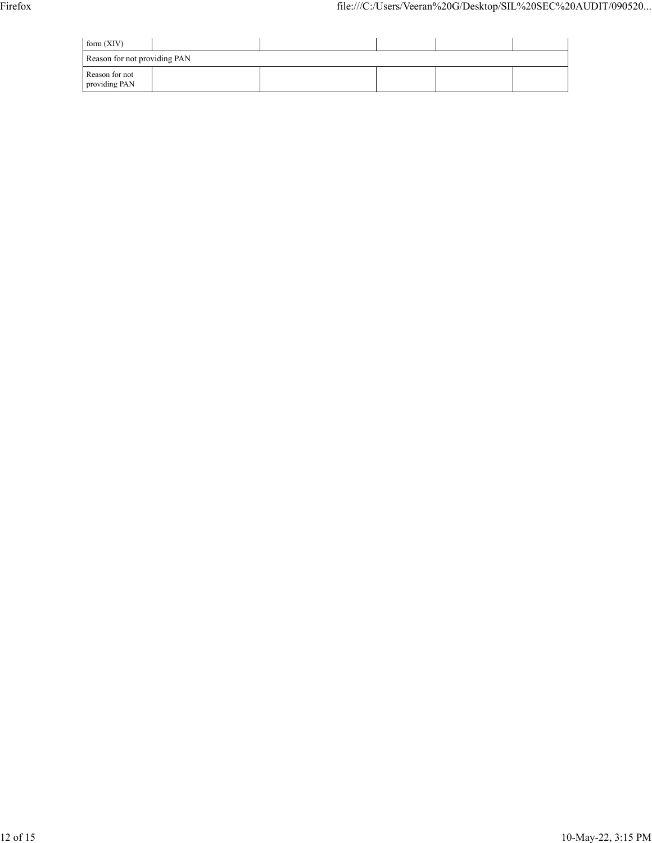| form $(XIV)$                    |  |  |  |  |  |  |  |  |
|---------------------------------|--|--|--|--|--|--|--|--|
| Reason for not providing PAN    |  |  |  |  |  |  |  |  |
| Reason for not<br>providing PAN |  |  |  |  |  |  |  |  |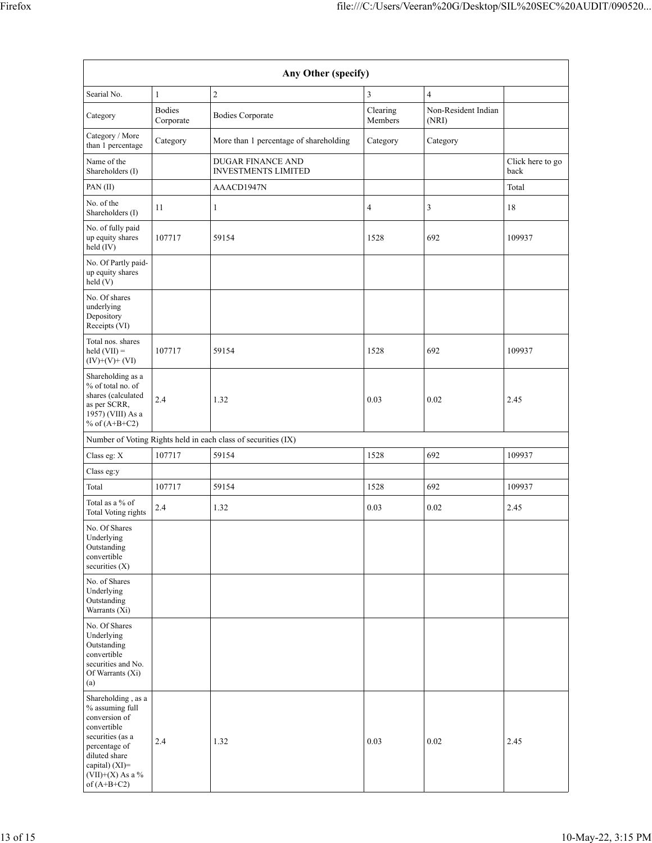| Any Other (specify)                                                                                                                                                                  |                            |                                                        |                     |                              |                          |  |  |  |
|--------------------------------------------------------------------------------------------------------------------------------------------------------------------------------------|----------------------------|--------------------------------------------------------|---------------------|------------------------------|--------------------------|--|--|--|
| Searial No.                                                                                                                                                                          | $\mathbf{1}$               | $\overline{c}$                                         | 3                   | 4                            |                          |  |  |  |
| Category                                                                                                                                                                             | <b>Bodies</b><br>Corporate | <b>Bodies Corporate</b>                                | Clearing<br>Members | Non-Resident Indian<br>(NRI) |                          |  |  |  |
| Category / More<br>than 1 percentage                                                                                                                                                 | Category                   | More than 1 percentage of shareholding                 | Category            | Category                     |                          |  |  |  |
| Name of the<br>Shareholders (I)                                                                                                                                                      |                            | <b>DUGAR FINANCE AND</b><br><b>INVESTMENTS LIMITED</b> |                     |                              | Click here to go<br>back |  |  |  |
| PAN(II)                                                                                                                                                                              |                            | AAACD1947N                                             |                     |                              | Total                    |  |  |  |
| No. of the<br>Shareholders (I)                                                                                                                                                       | 11                         | $\mathbf{1}$                                           | 4                   | 3                            | 18                       |  |  |  |
| No. of fully paid<br>up equity shares<br>held (IV)                                                                                                                                   | 107717                     | 59154                                                  | 1528                | 692                          | 109937                   |  |  |  |
| No. Of Partly paid-<br>up equity shares<br>held(V)                                                                                                                                   |                            |                                                        |                     |                              |                          |  |  |  |
| No. Of shares<br>underlying<br>Depository<br>Receipts (VI)                                                                                                                           |                            |                                                        |                     |                              |                          |  |  |  |
| Total nos. shares<br>$\text{held (VII)} =$<br>$(IV)+(V)+(VI)$                                                                                                                        | 107717                     | 59154                                                  | 1528                | 692                          | 109937                   |  |  |  |
| Shareholding as a<br>% of total no. of<br>shares (calculated<br>as per SCRR,<br>1957) (VIII) As a<br>% of $(A+B+C2)$                                                                 | 2.4                        | 1.32                                                   | 0.03                | 0.02                         | 2.45                     |  |  |  |
| Number of Voting Rights held in each class of securities (IX)                                                                                                                        |                            |                                                        |                     |                              |                          |  |  |  |
| Class eg: X                                                                                                                                                                          | 107717                     | 59154                                                  | 1528                | 692                          | 109937                   |  |  |  |
| Class eg:y                                                                                                                                                                           |                            |                                                        |                     |                              |                          |  |  |  |
| Total                                                                                                                                                                                | 107717                     | 59154                                                  | 1528                | 692                          | 109937                   |  |  |  |
| Total as a % of<br>Total Voting rights                                                                                                                                               | 2.4                        | 1.32                                                   | 0.03                | 0.02                         | 2.45                     |  |  |  |
| No. Of Shares<br>Underlying<br>Outstanding<br>convertible<br>securities (X)                                                                                                          |                            |                                                        |                     |                              |                          |  |  |  |
| No. of Shares<br>Underlying<br>Outstanding<br>Warrants (Xi)                                                                                                                          |                            |                                                        |                     |                              |                          |  |  |  |
| No. Of Shares<br>Underlying<br>Outstanding<br>convertible<br>securities and No.<br>Of Warrants (Xi)<br>(a)                                                                           |                            |                                                        |                     |                              |                          |  |  |  |
| Shareholding, as a<br>% assuming full<br>conversion of<br>convertible<br>securities (as a<br>percentage of<br>diluted share<br>capital) (XI)=<br>$(VII)+(X)$ As a %<br>of $(A+B+C2)$ | 2.4                        | 1.32                                                   | 0.03                | 0.02                         | 2.45                     |  |  |  |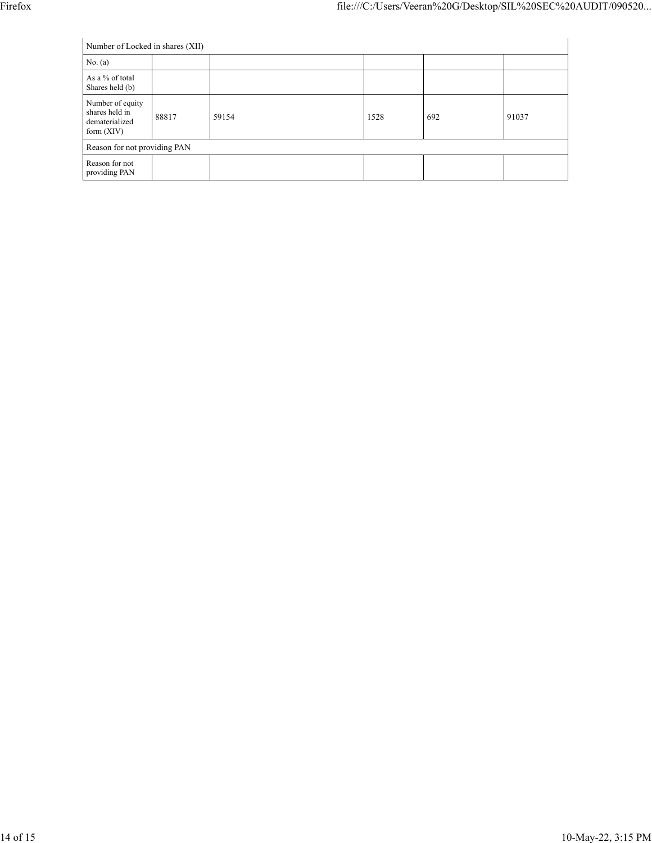| Number of Locked in shares (XII)                                     |       |       |      |     |       |  |  |  |
|----------------------------------------------------------------------|-------|-------|------|-----|-------|--|--|--|
| No. (a)                                                              |       |       |      |     |       |  |  |  |
| As a % of total<br>Shares held (b)                                   |       |       |      |     |       |  |  |  |
| Number of equity<br>shares held in<br>dematerialized<br>form $(XIV)$ | 88817 | 59154 | 1528 | 692 | 91037 |  |  |  |
| Reason for not providing PAN                                         |       |       |      |     |       |  |  |  |
| Reason for not<br>providing PAN                                      |       |       |      |     |       |  |  |  |